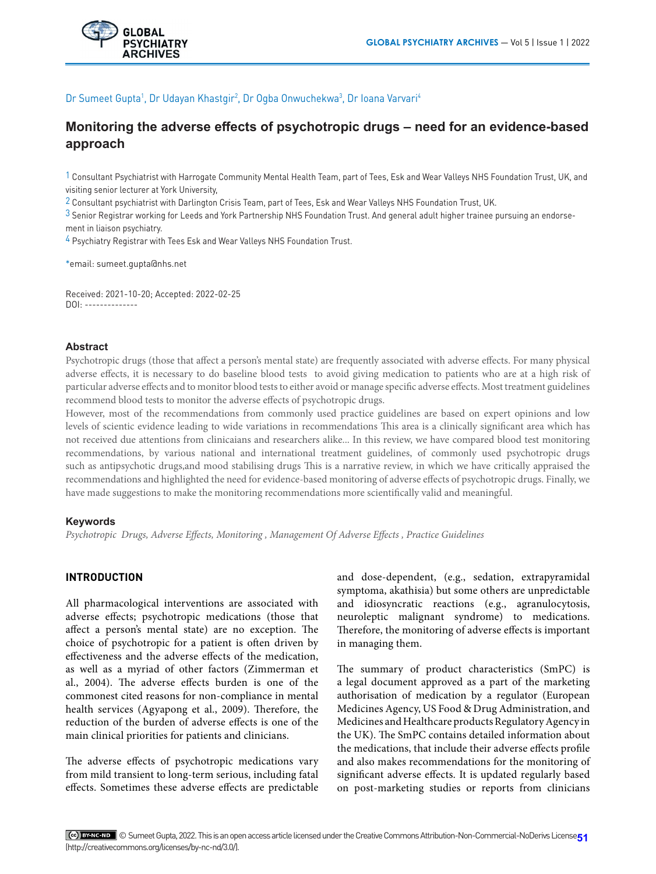

# Dr Sumeet Gupta<sup>1</sup>, Dr Udayan Khastgir<sup>2</sup>, Dr Ogba Onwuchekwa<sup>3</sup>, Dr Ioana Varvari<sup>4</sup>

# **Monitoring the adverse effects of psychotropic drugs – need for an evidence-based approach**

 $1$  Consultant Psychiatrist with Harrogate Community Mental Health Team, part of Tees, Esk and Wear Valleys NHS Foundation Trust, UK, and visiting senior lecturer at York University,

2 Consultant psychiatrist with Darlington Crisis Team, part of Tees, Esk and Wear Valleys NHS Foundation Trust, UK.

 $3$  Senior Registrar working for Leeds and York Partnership NHS Foundation Trust. And general adult higher trainee pursuing an endorsement in liaison psychiatry.

4 Psychiatry Registrar with Tees Esk and Wear Valleys NHS Foundation Trust.

\*email: sumeet.gupta@nhs.net

Received: 2021-10-20; Accepted: 2022-02-25 DOI: --------------

# **Abstract**

Psychotropic drugs (those that affect a person's mental state) are frequently associated with adverse effects. For many physical adverse effects, it is necessary to do baseline blood tests to avoid giving medication to patients who are at a high risk of particular adverse effects and to monitor blood tests to either avoid or manage specific adverse effects. Most treatment guidelines recommend blood tests to monitor the adverse effects of psychotropic drugs.

However, most of the recommendations from commonly used practice guidelines are based on expert opinions and low levels of scientic evidence leading to wide variations in recommendations This area is a clinically significant area which has not received due attentions from clinicaians and researchers alike... In this review, we have compared blood test monitoring recommendations, by various national and international treatment guidelines, of commonly used psychotropic drugs such as antipsychotic drugs,and mood stabilising drugs This is a narrative review, in which we have critically appraised the recommendations and highlighted the need for evidence-based monitoring of adverse effects of psychotropic drugs. Finally, we have made suggestions to make the monitoring recommendations more scientifically valid and meaningful.

# **Keywords**

*Psychotropic Drugs, Adverse Effects, Monitoring , Management Of Adverse Effects , Practice Guidelines*

# **INTRODUCTION**

All pharmacological interventions are associated with adverse effects; psychotropic medications (those that affect a person's mental state) are no exception. The choice of psychotropic for a patient is often driven by effectiveness and the adverse effects of the medication, as well as a myriad of other factors (Zimmerman et al., 2004). The adverse effects burden is one of the commonest cited reasons for non-compliance in mental health services (Agyapong et al., 2009). Therefore, the reduction of the burden of adverse effects is one of the main clinical priorities for patients and clinicians.

The adverse effects of psychotropic medications vary from mild transient to long-term serious, including fatal effects. Sometimes these adverse effects are predictable

and dose-dependent, (e.g., sedation, extrapyramidal symptoma, akathisia) but some others are unpredictable and idiosyncratic reactions (e.g., agranulocytosis, neuroleptic malignant syndrome) to medications. Therefore, the monitoring of adverse effects is important in managing them.

The summary of product characteristics (SmPC) is a legal document approved as a part of the marketing authorisation of medication by a regulator (European Medicines Agency, US Food & Drug Administration, and Medicines and Healthcare products Regulatory Agency in the UK). The SmPC contains detailed information about the medications, that include their adverse effects profile and also makes recommendations for the monitoring of significant adverse effects. It is updated regularly based on post-marketing studies or reports from clinicians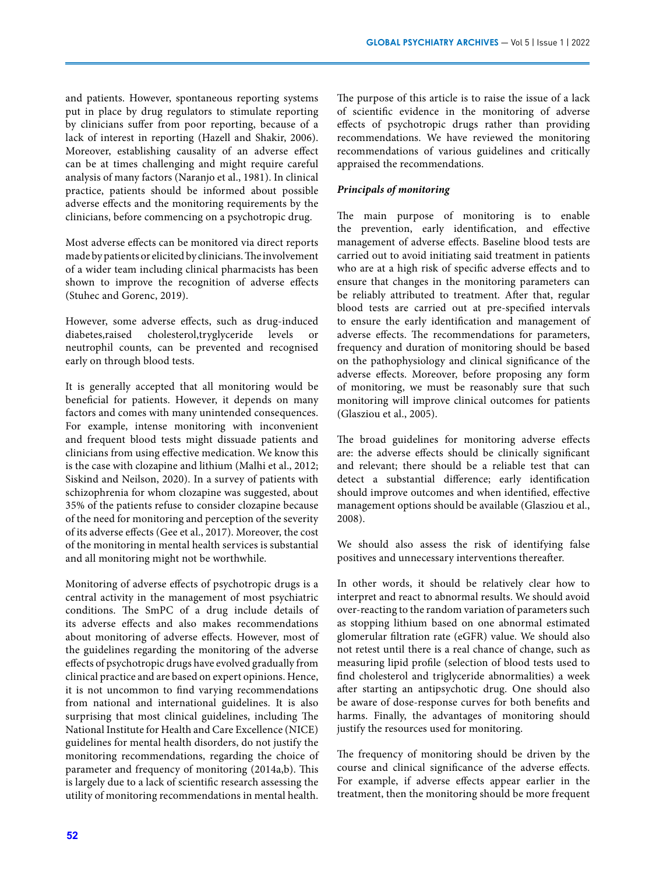and patients. However, spontaneous reporting systems put in place by drug regulators to stimulate reporting by clinicians suffer from poor reporting, because of a lack of interest in reporting (Hazell and Shakir, 2006). Moreover, establishing causality of an adverse effect can be at times challenging and might require careful analysis of many factors (Naranjo et al., 1981). In clinical practice, patients should be informed about possible adverse effects and the monitoring requirements by the clinicians, before commencing on a psychotropic drug.

Most adverse effects can be monitored via direct reports made by patients or elicited by clinicians. The involvement of a wider team including clinical pharmacists has been shown to improve the recognition of adverse effects (Stuhec and Gorenc, 2019).

However, some adverse effects, such as drug-induced diabetes,raised cholesterol,tryglyceride levels neutrophil counts, can be prevented and recognised early on through blood tests.

It is generally accepted that all monitoring would be beneficial for patients. However, it depends on many factors and comes with many unintended consequences. For example, intense monitoring with inconvenient and frequent blood tests might dissuade patients and clinicians from using effective medication. We know this is the case with clozapine and lithium (Malhi et al., 2012; Siskind and Neilson, 2020). In a survey of patients with schizophrenia for whom clozapine was suggested, about 35% of the patients refuse to consider clozapine because of the need for monitoring and perception of the severity of its adverse effects (Gee et al., 2017). Moreover, the cost of the monitoring in mental health services is substantial and all monitoring might not be worthwhile.

Monitoring of adverse effects of psychotropic drugs is a central activity in the management of most psychiatric conditions. The SmPC of a drug include details of its adverse effects and also makes recommendations about monitoring of adverse effects. However, most of the guidelines regarding the monitoring of the adverse effects of psychotropic drugs have evolved gradually from clinical practice and are based on expert opinions. Hence, it is not uncommon to find varying recommendations from national and international guidelines. It is also surprising that most clinical guidelines, including The National Institute for Health and Care Excellence (NICE) guidelines for mental health disorders, do not justify the monitoring recommendations, regarding the choice of parameter and frequency of monitoring (2014a,b). This is largely due to a lack of scientific research assessing the utility of monitoring recommendations in mental health.

The purpose of this article is to raise the issue of a lack of scientific evidence in the monitoring of adverse effects of psychotropic drugs rather than providing recommendations. We have reviewed the monitoring recommendations of various guidelines and critically appraised the recommendations.

### *Principals of monitoring*

The main purpose of monitoring is to enable the prevention, early identification, and effective management of adverse effects. Baseline blood tests are carried out to avoid initiating said treatment in patients who are at a high risk of specific adverse effects and to ensure that changes in the monitoring parameters can be reliably attributed to treatment. After that, regular blood tests are carried out at pre-specified intervals to ensure the early identification and management of adverse effects. The recommendations for parameters, frequency and duration of monitoring should be based on the pathophysiology and clinical significance of the adverse effects. Moreover, before proposing any form of monitoring, we must be reasonably sure that such monitoring will improve clinical outcomes for patients (Glasziou et al., 2005).

The broad guidelines for monitoring adverse effects are: the adverse effects should be clinically significant and relevant; there should be a reliable test that can detect a substantial difference; early identification should improve outcomes and when identified, effective management options should be available (Glasziou et al., 2008).

We should also assess the risk of identifying false positives and unnecessary interventions thereafter.

In other words, it should be relatively clear how to interpret and react to abnormal results. We should avoid over-reacting to the random variation of parameters such as stopping lithium based on one abnormal estimated glomerular filtration rate (eGFR) value. We should also not retest until there is a real chance of change, such as measuring lipid profile (selection of blood tests used to find cholesterol and triglyceride abnormalities) a week after starting an antipsychotic drug. One should also be aware of dose-response curves for both benefits and harms. Finally, the advantages of monitoring should justify the resources used for monitoring.

The frequency of monitoring should be driven by the course and clinical significance of the adverse effects. For example, if adverse effects appear earlier in the treatment, then the monitoring should be more frequent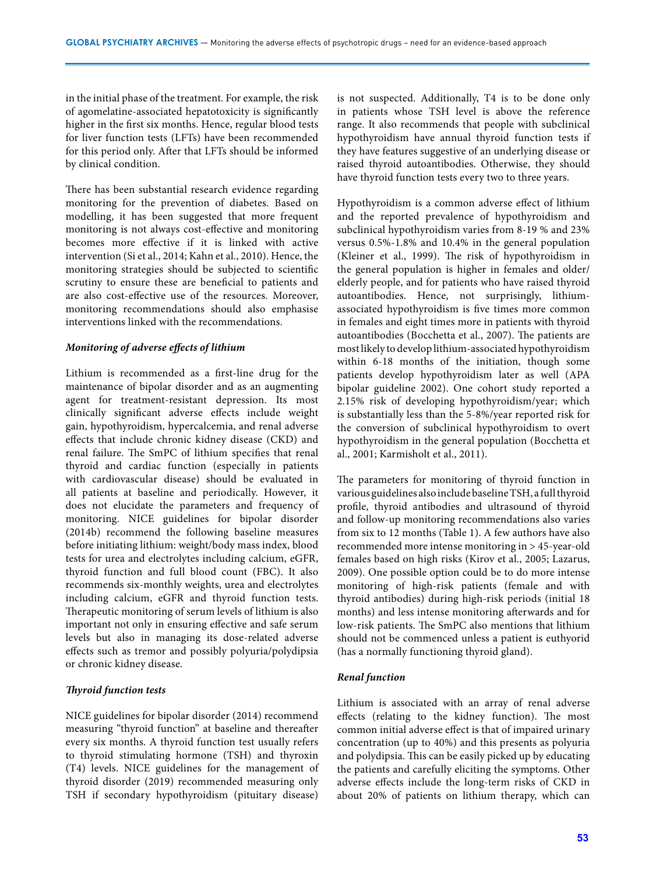in the initial phase of the treatment. For example, the risk of agomelatine-associated hepatotoxicity is significantly higher in the first six months. Hence, regular blood tests for liver function tests (LFTs) have been recommended for this period only. After that LFTs should be informed by clinical condition.

There has been substantial research evidence regarding monitoring for the prevention of diabetes. Based on modelling, it has been suggested that more frequent monitoring is not always cost-effective and monitoring becomes more effective if it is linked with active intervention (Si et al., 2014; Kahn et al., 2010). Hence, the monitoring strategies should be subjected to scientific scrutiny to ensure these are beneficial to patients and are also cost-effective use of the resources. Moreover, monitoring recommendations should also emphasise interventions linked with the recommendations.

# *Monitoring of adverse effects of lithium*

Lithium is recommended as a first-line drug for the maintenance of bipolar disorder and as an augmenting agent for treatment-resistant depression. Its most clinically significant adverse effects include weight gain, hypothyroidism, hypercalcemia, and renal adverse effects that include chronic kidney disease (CKD) and renal failure. The SmPC of lithium specifies that renal thyroid and cardiac function (especially in patients with cardiovascular disease) should be evaluated in all patients at baseline and periodically. However, it does not elucidate the parameters and frequency of monitoring. NICE guidelines for bipolar disorder (2014b) recommend the following baseline measures before initiating lithium: weight/body mass index, blood tests for urea and electrolytes including calcium, eGFR, thyroid function and full blood count (FBC). It also recommends six-monthly weights, urea and electrolytes including calcium, eGFR and thyroid function tests. Therapeutic monitoring of serum levels of lithium is also important not only in ensuring effective and safe serum levels but also in managing its dose-related adverse effects such as tremor and possibly polyuria/polydipsia or chronic kidney disease.

# *Thyroid function tests*

NICE guidelines for bipolar disorder (2014) recommend measuring "thyroid function" at baseline and thereafter every six months. A thyroid function test usually refers to thyroid stimulating hormone (TSH) and thyroxin (T4) levels. NICE guidelines for the management of thyroid disorder (2019) recommended measuring only TSH if secondary hypothyroidism (pituitary disease)

is not suspected. Additionally, T4 is to be done only in patients whose TSH level is above the reference range. It also recommends that people with subclinical hypothyroidism have annual thyroid function tests if they have features suggestive of an underlying disease or raised thyroid autoantibodies. Otherwise, they should have thyroid function tests every two to three years.

Hypothyroidism is a common adverse effect of lithium and the reported prevalence of hypothyroidism and subclinical hypothyroidism varies from 8-19 % and 23% versus 0.5%-1.8% and 10.4% in the general population (Kleiner et al., 1999). The risk of hypothyroidism in the general population is higher in females and older/ elderly people, and for patients who have raised thyroid autoantibodies. Hence, not surprisingly, lithiumassociated hypothyroidism is five times more common in females and eight times more in patients with thyroid autoantibodies (Bocchetta et al., 2007). The patients are most likely to develop lithium-associated hypothyroidism within 6-18 months of the initiation, though some patients develop hypothyroidism later as well (APA bipolar guideline 2002). One cohort study reported a 2.15% risk of developing hypothyroidism/year; which is substantially less than the 5-8%/year reported risk for the conversion of subclinical hypothyroidism to overt hypothyroidism in the general population (Bocchetta et al., 2001; Karmisholt et al., 2011).

The parameters for monitoring of thyroid function in various guidelines also include baseline TSH, a full thyroid profile, thyroid antibodies and ultrasound of thyroid and follow-up monitoring recommendations also varies from six to 12 months (Table 1). A few authors have also recommended more intense monitoring in > 45-year-old females based on high risks (Kirov et al., 2005; Lazarus, 2009). One possible option could be to do more intense monitoring of high-risk patients (female and with thyroid antibodies) during high-risk periods (initial 18 months) and less intense monitoring afterwards and for low-risk patients. The SmPC also mentions that lithium should not be commenced unless a patient is euthyorid (has a normally functioning thyroid gland).

#### *Renal function*

Lithium is associated with an array of renal adverse effects (relating to the kidney function). The most common initial adverse effect is that of impaired urinary concentration (up to 40%) and this presents as polyuria and polydipsia. This can be easily picked up by educating the patients and carefully eliciting the symptoms. Other adverse effects include the long-term risks of CKD in about 20% of patients on lithium therapy, which can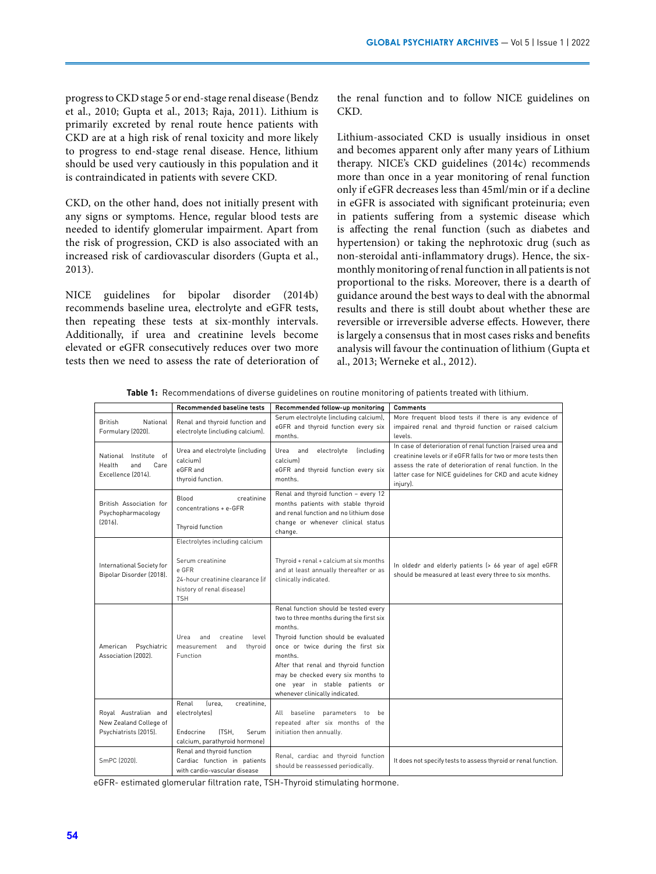progress to CKD stage 5 or end-stage renal disease (Bendz et al., 2010; Gupta et al., 2013; Raja, 2011). Lithium is primarily excreted by renal route hence patients with CKD are at a high risk of renal toxicity and more likely to progress to end-stage renal disease. Hence, lithium should be used very cautiously in this population and it is contraindicated in patients with severe CKD.

CKD, on the other hand, does not initially present with any signs or symptoms. Hence, regular blood tests are needed to identify glomerular impairment. Apart from the risk of progression, CKD is also associated with an increased risk of cardiovascular disorders (Gupta et al., 2013).

NICE guidelines for bipolar disorder (2014b) recommends baseline urea, electrolyte and eGFR tests, then repeating these tests at six-monthly intervals. Additionally, if urea and creatinine levels become elevated or eGFR consecutively reduces over two more tests then we need to assess the rate of deterioration of the renal function and to follow NICE guidelines on CKD.

Lithium-associated CKD is usually insidious in onset and becomes apparent only after many years of Lithium therapy. NICE's CKD guidelines (2014c) recommends more than once in a year monitoring of renal function only if eGFR decreases less than 45ml/min or if a decline in eGFR is associated with significant proteinuria; even in patients suffering from a systemic disease which is affecting the renal function (such as diabetes and hypertension) or taking the nephrotoxic drug (such as non-steroidal anti-inflammatory drugs). Hence, the sixmonthly monitoring of renal function in all patients is not proportional to the risks. Moreover, there is a dearth of guidance around the best ways to deal with the abnormal results and there is still doubt about whether these are reversible or irreversible adverse effects. However, there is largely a consensus that in most cases risks and benefits analysis will favour the continuation of lithium (Gupta et al., 2013; Werneke et al., 2012).

**Table 1:** Recommendations of diverse guidelines on routine monitoring of patients treated with lithium.

|                                                                         | <b>Recommended baseline tests</b>                                                                                                          | Recommended follow-up monitoring                                                                                                                                                                                                                                                                                                         | <b>Comments</b>                                                                                                                                                                                                                                                    |
|-------------------------------------------------------------------------|--------------------------------------------------------------------------------------------------------------------------------------------|------------------------------------------------------------------------------------------------------------------------------------------------------------------------------------------------------------------------------------------------------------------------------------------------------------------------------------------|--------------------------------------------------------------------------------------------------------------------------------------------------------------------------------------------------------------------------------------------------------------------|
| <b>British</b><br>National<br>Formulary (2020).                         | Renal and thyroid function and<br>electrolyte (including calcium).                                                                         | Serum electrolyte (including calcium),<br>eGFR and thyroid function every six<br>months.                                                                                                                                                                                                                                                 | More frequent blood tests if there is any evidence of<br>impaired renal and thyroid function or raised calcium<br>levels.                                                                                                                                          |
| National Institute of<br>Health<br>and<br>Care<br>Excellence (2014).    | Urea and electrolyte (including<br>calciuml<br>eGFR and<br>thyroid function.                                                               | electrolyte<br>Urea and<br><i>lincluding</i><br>calciuml<br>eGFR and thyroid function every six<br>months.                                                                                                                                                                                                                               | In case of deterioration of renal function fraised urea and<br>creatinine levels or if eGFR falls for two or more tests then<br>assess the rate of deterioration of renal function. In the<br>latter case for NICE guidelines for CKD and acute kidney<br>injury). |
| British Association for<br>Psychopharmacology<br>$[2016]$ .             | creatinine<br>Blood<br>concentrations + e-GFR<br>Thyroid function                                                                          | Renal and thyroid function - every 12<br>months patients with stable thyroid<br>and renal function and no lithium dose<br>change or whenever clinical status<br>change.                                                                                                                                                                  |                                                                                                                                                                                                                                                                    |
| International Society for<br>Bipolar Disorder (2018).                   | Electrolytes including calcium<br>Serum creatinine<br>e GFR<br>24-hour creatinine clearance lif<br>history of renal disease)<br><b>TSH</b> | Thyroid + renal + calcium at six months<br>and at least annually thereafter or as<br>clinically indicated.                                                                                                                                                                                                                               | In oldedr and elderly patients (> 66 year of age) eGFR<br>should be measured at least every three to six months.                                                                                                                                                   |
| Psychiatric<br>American<br>Association (2002).                          | Urea<br>and<br>creatine<br>level<br>thyroid<br>measurement<br>and<br>Function                                                              | Renal function should be tested every<br>two to three months during the first six<br>months.<br>Thyroid function should be evaluated<br>once or twice during the first six<br>months.<br>After that renal and thyroid function<br>may be checked every six months to<br>one year in stable patients or<br>whenever clinically indicated. |                                                                                                                                                                                                                                                                    |
| Royal Australian and<br>New Zealand College of<br>Psychiatrists (2015). | Renal<br>lurea.<br>creatinine,<br>electrolytes)<br>Endocrine<br>ITSH.<br>Serum<br>calcium, parathyroid hormone)                            | All baseline parameters to<br><b>be</b><br>repeated after six months of the<br>initiation then annually.                                                                                                                                                                                                                                 |                                                                                                                                                                                                                                                                    |
| SmPC (2020).                                                            | Renal and thyroid function<br>Cardiac function in patients<br>with cardio-vascular disease                                                 | Renal, cardiac and thyroid function<br>should be reassessed periodically.                                                                                                                                                                                                                                                                | It does not specify tests to assess thyroid or renal function.                                                                                                                                                                                                     |

eGFR- estimated glomerular filtration rate, TSH-Thyroid stimulating hormone.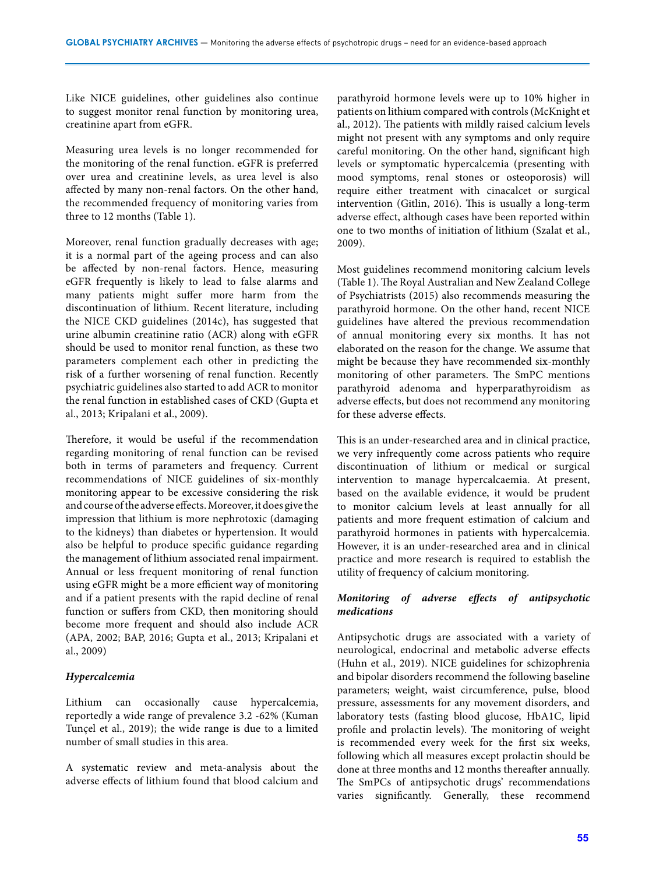Like NICE guidelines, other guidelines also continue to suggest monitor renal function by monitoring urea, creatinine apart from eGFR.

Measuring urea levels is no longer recommended for the monitoring of the renal function. eGFR is preferred over urea and creatinine levels, as urea level is also affected by many non-renal factors. On the other hand, the recommended frequency of monitoring varies from three to 12 months (Table 1).

Moreover, renal function gradually decreases with age; it is a normal part of the ageing process and can also be affected by non-renal factors. Hence, measuring eGFR frequently is likely to lead to false alarms and many patients might suffer more harm from the discontinuation of lithium. Recent literature, including the NICE CKD guidelines (2014c), has suggested that urine albumin creatinine ratio (ACR) along with eGFR should be used to monitor renal function, as these two parameters complement each other in predicting the risk of a further worsening of renal function. Recently psychiatric guidelines also started to add ACR to monitor the renal function in established cases of CKD (Gupta et al., 2013; Kripalani et al., 2009).

Therefore, it would be useful if the recommendation regarding monitoring of renal function can be revised both in terms of parameters and frequency. Current recommendations of NICE guidelines of six-monthly monitoring appear to be excessive considering the risk and course of the adverse effects. Moreover, it does give the impression that lithium is more nephrotoxic (damaging to the kidneys) than diabetes or hypertension. It would also be helpful to produce specific guidance regarding the management of lithium associated renal impairment. Annual or less frequent monitoring of renal function using eGFR might be a more efficient way of monitoring and if a patient presents with the rapid decline of renal function or suffers from CKD, then monitoring should become more frequent and should also include ACR (APA, 2002; BAP, 2016; Gupta et al., 2013; Kripalani et al., 2009)

# *Hypercalcemia*

Lithium can occasionally cause hypercalcemia, reportedly a wide range of prevalence 3.2 -62% (Kuman Tunçel et al., 2019); the wide range is due to a limited number of small studies in this area.

A systematic review and meta-analysis about the adverse effects of lithium found that blood calcium and

parathyroid hormone levels were up to 10% higher in patients on lithium compared with controls (McKnight et al., 2012). The patients with mildly raised calcium levels might not present with any symptoms and only require careful monitoring. On the other hand, significant high levels or symptomatic hypercalcemia (presenting with mood symptoms, renal stones or osteoporosis) will require either treatment with cinacalcet or surgical intervention (Gitlin, 2016). This is usually a long-term adverse effect, although cases have been reported within one to two months of initiation of lithium (Szalat et al., 2009).

Most guidelines recommend monitoring calcium levels (Table 1). The Royal Australian and New Zealand College of Psychiatrists (2015) also recommends measuring the parathyroid hormone. On the other hand, recent NICE guidelines have altered the previous recommendation of annual monitoring every six months. It has not elaborated on the reason for the change. We assume that might be because they have recommended six-monthly monitoring of other parameters. The SmPC mentions parathyroid adenoma and hyperparathyroidism as adverse effects, but does not recommend any monitoring for these adverse effects.

This is an under-researched area and in clinical practice, we very infrequently come across patients who require discontinuation of lithium or medical or surgical intervention to manage hypercalcaemia. At present, based on the available evidence, it would be prudent to monitor calcium levels at least annually for all patients and more frequent estimation of calcium and parathyroid hormones in patients with hypercalcemia. However, it is an under-researched area and in clinical practice and more research is required to establish the utility of frequency of calcium monitoring.

# *Monitoring of adverse effects of antipsychotic medications*

Antipsychotic drugs are associated with a variety of neurological, endocrinal and metabolic adverse effects (Huhn et al., 2019). NICE guidelines for schizophrenia and bipolar disorders recommend the following baseline parameters; weight, waist circumference, pulse, blood pressure, assessments for any movement disorders, and laboratory tests (fasting blood glucose, HbA1C, lipid profile and prolactin levels). The monitoring of weight is recommended every week for the first six weeks, following which all measures except prolactin should be done at three months and 12 months thereafter annually. The SmPCs of antipsychotic drugs' recommendations varies significantly. Generally, these recommend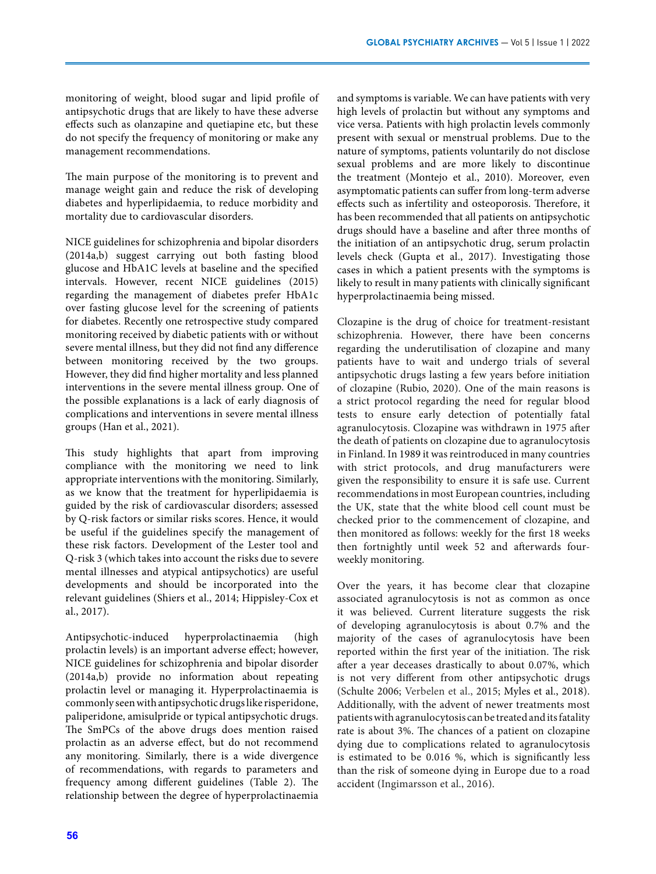monitoring of weight, blood sugar and lipid profile of antipsychotic drugs that are likely to have these adverse effects such as olanzapine and quetiapine etc, but these do not specify the frequency of monitoring or make any management recommendations.

The main purpose of the monitoring is to prevent and manage weight gain and reduce the risk of developing diabetes and hyperlipidaemia, to reduce morbidity and mortality due to cardiovascular disorders.

NICE guidelines for schizophrenia and bipolar disorders (2014a,b) suggest carrying out both fasting blood glucose and HbA1C levels at baseline and the specified intervals. However, recent NICE guidelines (2015) regarding the management of diabetes prefer HbA1c over fasting glucose level for the screening of patients for diabetes. Recently one retrospective study compared monitoring received by diabetic patients with or without severe mental illness, but they did not find any difference between monitoring received by the two groups. However, they did find higher mortality and less planned interventions in the severe mental illness group. One of the possible explanations is a lack of early diagnosis of complications and interventions in severe mental illness groups (Han et al., 2021).

This study highlights that apart from improving compliance with the monitoring we need to link appropriate interventions with the monitoring. Similarly, as we know that the treatment for hyperlipidaemia is guided by the risk of cardiovascular disorders; assessed by Q-risk factors or similar risks scores. Hence, it would be useful if the guidelines specify the management of these risk factors. Development of the Lester tool and Q-risk 3 (which takes into account the risks due to severe mental illnesses and atypical antipsychotics) are useful developments and should be incorporated into the relevant guidelines (Shiers et al., 2014; Hippisley-Cox et al., 2017).

Antipsychotic-induced hyperprolactinaemia (high prolactin levels) is an important adverse effect; however, NICE guidelines for schizophrenia and bipolar disorder (2014a,b) provide no information about repeating prolactin level or managing it. Hyperprolactinaemia is commonly seen with antipsychotic drugs like risperidone, paliperidone, amisulpride or typical antipsychotic drugs. The SmPCs of the above drugs does mention raised prolactin as an adverse effect, but do not recommend any monitoring. Similarly, there is a wide divergence of recommendations, with regards to parameters and frequency among different guidelines (Table 2). The relationship between the degree of hyperprolactinaemia

and symptoms is variable. We can have patients with very high levels of prolactin but without any symptoms and vice versa. Patients with high prolactin levels commonly present with sexual or menstrual problems. Due to the nature of symptoms, patients voluntarily do not disclose sexual problems and are more likely to discontinue the treatment (Montejo et al., 2010). Moreover, even asymptomatic patients can suffer from long-term adverse effects such as infertility and osteoporosis. Therefore, it has been recommended that all patients on antipsychotic drugs should have a baseline and after three months of the initiation of an antipsychotic drug, serum prolactin levels check (Gupta et al., 2017). Investigating those cases in which a patient presents with the symptoms is likely to result in many patients with clinically significant hyperprolactinaemia being missed.

Clozapine is the drug of choice for treatment-resistant schizophrenia. However, there have been concerns regarding the underutilisation of clozapine and many patients have to wait and undergo trials of several antipsychotic drugs lasting a few years before initiation of clozapine (Rubio, 2020). One of the main reasons is a strict protocol regarding the need for regular blood tests to ensure early detection of potentially fatal agranulocytosis. Clozapine was withdrawn in 1975 after the death of patients on clozapine due to agranulocytosis in Finland. In 1989 it was reintroduced in many countries with strict protocols, and drug manufacturers were given the responsibility to ensure it is safe use. Current recommendations in most European countries, including the UK, state that the white blood cell count must be checked prior to the commencement of clozapine, and then monitored as follows: weekly for the first 18 weeks then fortnightly until week 52 and afterwards fourweekly monitoring.

Over the years, it has become clear that clozapine associated agranulocytosis is not as common as once it was believed. Current literature suggests the risk of developing agranulocytosis is about 0.7% and the majority of the cases of agranulocytosis have been reported within the first year of the initiation. The risk after a year deceases drastically to about 0.07%, which is not very different from other antipsychotic drugs (Schulte 2006; Verbelen et al., 2015; Myles et al., 2018). Additionally, with the advent of newer treatments most patients with agranulocytosis can be treated and its fatality rate is about 3%. The chances of a patient on clozapine dying due to complications related to agranulocytosis is estimated to be 0.016 %, which is significantly less than the risk of someone dying in Europe due to a road accident (Ingimarsson et al., 2016).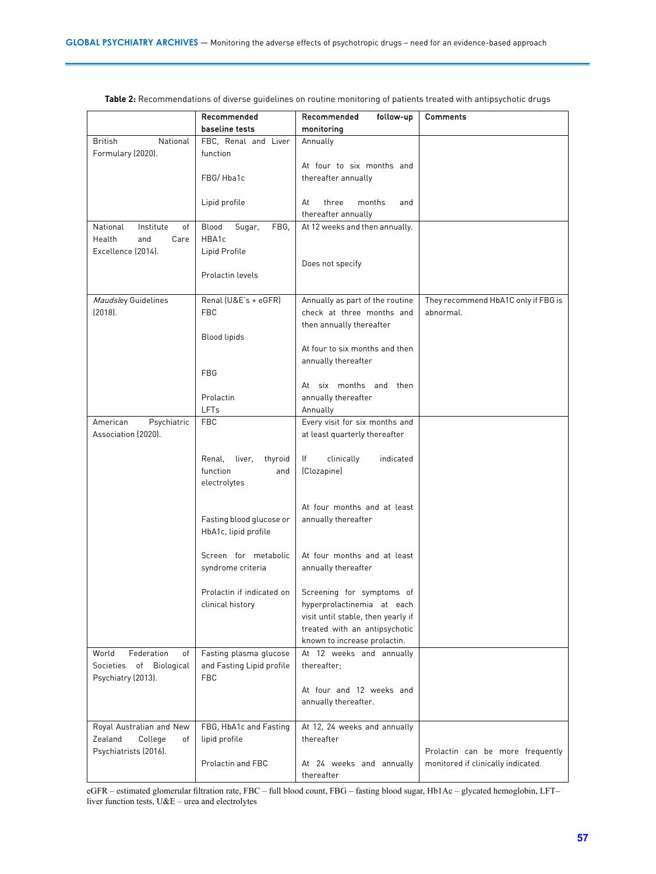|                                               | Recommended                             | Recommended<br>follow-up                | Comments                                         |
|-----------------------------------------------|-----------------------------------------|-----------------------------------------|--------------------------------------------------|
|                                               | baseline tests                          | monitoring                              |                                                  |
| <b>British</b><br>National                    | FBC, Renal and Liver                    | Annually                                |                                                  |
| Formulary (2020).                             | function                                |                                         |                                                  |
|                                               |                                         | At four to six months and               |                                                  |
|                                               | FBG/Hba1c                               | thereafter annually                     |                                                  |
|                                               |                                         |                                         |                                                  |
|                                               | Lipid profile                           | three<br>months<br>At<br>and            |                                                  |
|                                               |                                         | thereafter annually                     |                                                  |
| National<br>Institute<br>of                   | Blood<br>Sugar,<br>FBG.                 | At 12 weeks and then annually.          |                                                  |
| Health<br>and<br>Care                         | HBA1c                                   |                                         |                                                  |
| Excellence (2014).                            | Lipid Profile                           |                                         |                                                  |
|                                               |                                         | Does not specify                        |                                                  |
|                                               | Prolactin levels                        |                                         |                                                  |
| Maudsley Guidelines                           | Renal (U&E's + eGFR)                    | Annually as part of the routine         |                                                  |
| (2018).                                       | <b>FBC</b>                              | check at three months and               | They recommend HbA1C only if FBG is<br>abnormal. |
|                                               |                                         | then annually thereafter                |                                                  |
|                                               | <b>Blood lipids</b>                     |                                         |                                                  |
|                                               |                                         | At four to six months and then          |                                                  |
|                                               |                                         | annually thereafter                     |                                                  |
|                                               | <b>FBG</b>                              |                                         |                                                  |
|                                               |                                         | At six months and then                  |                                                  |
|                                               | Prolactin                               | annually thereafter                     |                                                  |
|                                               | LFTs                                    | Annually                                |                                                  |
| American<br>Psychiatric                       | <b>FBC</b>                              | Every visit for six months and          |                                                  |
| Association (2020).                           |                                         | at least quarterly thereafter           |                                                  |
|                                               |                                         |                                         |                                                  |
|                                               | Renal,<br>liver,<br>thyroid             | clinically<br>lf<br>indicated           |                                                  |
|                                               | function<br>and                         | (Clozapine)                             |                                                  |
|                                               | electrolytes                            |                                         |                                                  |
|                                               |                                         | At four months and at least             |                                                  |
|                                               | Fasting blood glucose or                | annually thereafter                     |                                                  |
|                                               | HbA1c, lipid profile                    |                                         |                                                  |
|                                               |                                         |                                         |                                                  |
|                                               | Screen for metabolic                    | At four months and at least             |                                                  |
|                                               | syndrome criteria                       | annually thereafter                     |                                                  |
|                                               |                                         |                                         |                                                  |
|                                               | Prolactin if indicated on               | Screening for symptoms of               |                                                  |
|                                               | clinical history                        | hyperprolactinemia at each              |                                                  |
|                                               |                                         | visit until stable, then yearly if      |                                                  |
|                                               |                                         | treated with an antipsychotic           |                                                  |
|                                               |                                         | known to increase prolactin.            |                                                  |
| World<br>Federation<br>of                     | Fasting plasma glucose                  | At 12 weeks and annually<br>thereafter; |                                                  |
| Societies of Biological<br>Psychiatry (2013). | and Fasting Lipid profile<br><b>FBC</b> |                                         |                                                  |
|                                               |                                         | At four and 12 weeks and                |                                                  |
|                                               |                                         | annually thereafter.                    |                                                  |
|                                               |                                         |                                         |                                                  |
| Royal Australian and New                      | FBG, HbA1c and Fasting                  | At 12, 24 weeks and annually            |                                                  |
| Zealand<br>College<br>of                      | lipid profile                           | thereafter                              |                                                  |
| Psychiatrists (2016).                         |                                         |                                         | Prolactin can be more frequently                 |
|                                               | Prolactin and FBC                       | At 24 weeks and annually                | monitored if clinically indicated.               |
|                                               |                                         | thereafter                              |                                                  |

**Table 2:** Recommendations of diverse guidelines on routine monitoring of patients treated with antipsychotic drugs

eGFR – estimated glomerular filtration rate, FBC – full blood count, FBG – fasting blood sugar, Hb1Ac – glycated hemoglobin, LFT– liver function tests, U&E – urea and electrolytes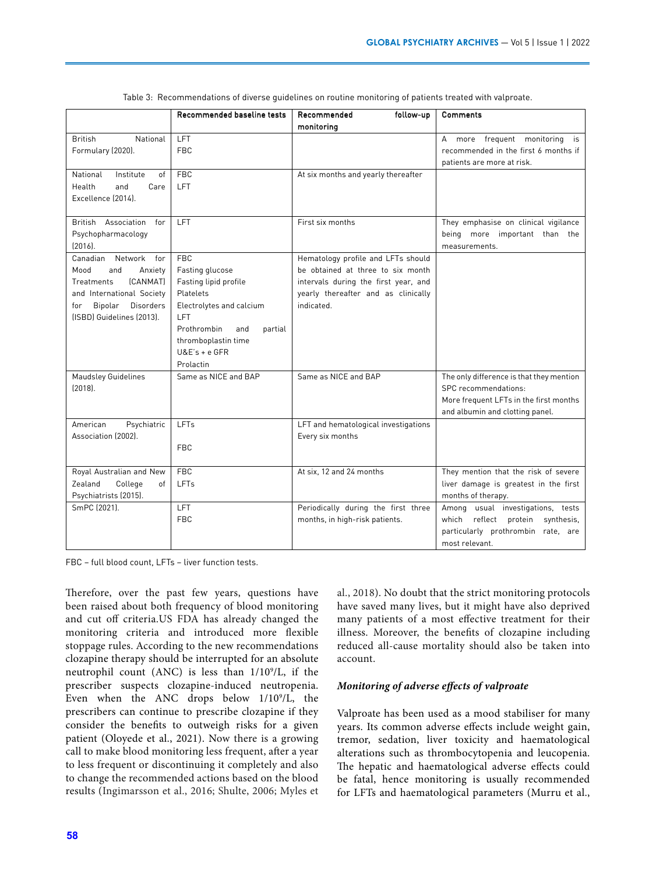|                                                   | <b>Recommended baseline tests</b> | Recommended<br>follow-up             | <b>Comments</b>                                             |
|---------------------------------------------------|-----------------------------------|--------------------------------------|-------------------------------------------------------------|
|                                                   |                                   | monitoring                           |                                                             |
| <b>British</b><br>National                        | LFT                               |                                      | more frequent monitoring<br>A<br>is                         |
| Formulary (2020).                                 | <b>FBC</b>                        |                                      | recommended in the first 6 months if                        |
|                                                   |                                   |                                      | patients are more at risk.                                  |
| National<br>Institute<br>of                       | <b>FBC</b>                        | At six months and yearly thereafter  |                                                             |
| Health<br>and<br>Care                             | <b>LFT</b>                        |                                      |                                                             |
| Excellence (2014).                                |                                   |                                      |                                                             |
|                                                   |                                   |                                      |                                                             |
| British Association<br>for                        | LFT                               | First six months                     | They emphasise on clinical vigilance                        |
| Psychopharmacology                                |                                   |                                      | being more important than the                               |
| $[2016]$ .                                        |                                   |                                      | measurements.                                               |
| Canadian Network<br>for                           | <b>FBC</b>                        | Hematology profile and LFTs should   |                                                             |
| Mood<br>and<br>Anxiety                            | Fasting glucose                   | be obtained at three to six month    |                                                             |
| (CANMAT)<br>Treatments                            | Fasting lipid profile             | intervals during the first year, and |                                                             |
| and International Society                         | Platelets                         | yearly thereafter and as clinically  |                                                             |
| <b>Disorders</b><br>Bipolar<br>for                | Electrolytes and calcium          | indicated.                           |                                                             |
| (ISBD) Guidelines (2013).                         | <b>LFT</b>                        |                                      |                                                             |
|                                                   | Prothrombin<br>and<br>partial     |                                      |                                                             |
|                                                   | thromboplastin time               |                                      |                                                             |
|                                                   | $U&E's + e GFR$                   |                                      |                                                             |
|                                                   | Prolactin                         |                                      |                                                             |
| <b>Maudsley Guidelines</b>                        | Same as NICE and BAP              | Same as NICE and BAP                 | The only difference is that they mention                    |
| $[2018]$ .                                        |                                   |                                      | SPC recommendations:                                        |
|                                                   |                                   |                                      | More frequent LFTs in the first months                      |
|                                                   |                                   |                                      | and albumin and clotting panel.                             |
| American<br>Psychiatric                           | LFTs                              | LFT and hematological investigations |                                                             |
| Association (2002).                               |                                   | Every six months                     |                                                             |
|                                                   | <b>FBC</b>                        |                                      |                                                             |
| Royal Australian and New                          | <b>FBC</b>                        | At six, 12 and 24 months             | They mention that the risk of severe                        |
|                                                   | LFTs                              |                                      |                                                             |
| Zealand<br>College<br>of<br>Psychiatrists (2015). |                                   |                                      | liver damage is greatest in the first<br>months of therapy. |
| SmPC (2021).                                      | <b>LFT</b>                        | Periodically during the first three  | Among usual investigations, tests                           |
|                                                   | <b>FBC</b>                        | months, in high-risk patients.       | which reflect protein<br>synthesis.                         |
|                                                   |                                   |                                      | particularly prothrombin rate, are                          |
|                                                   |                                   |                                      | most relevant.                                              |
|                                                   |                                   |                                      |                                                             |

Table 3: Recommendations of diverse guidelines on routine monitoring of patients treated with valproate.

FBC – full blood count, LFTs – liver function tests.

Therefore, over the past few years, questions have been raised about both frequency of blood monitoring and cut off criteria.US FDA has already changed the monitoring criteria and introduced more flexible stoppage rules. According to the new recommendations clozapine therapy should be interrupted for an absolute neutrophil count (ANC) is less than  $1/10^9$ /L, if the prescriber suspects clozapine-induced neutropenia. Even when the ANC drops below  $1/10^9$ /L, the prescribers can continue to prescribe clozapine if they consider the benefits to outweigh risks for a given patient (Oloyede et al., 2021). Now there is a growing call to make blood monitoring less frequent, after a year to less frequent or discontinuing it completely and also to change the recommended actions based on the blood results (Ingimarsson et al., 2016; Shulte, 2006; Myles et

al., 2018). No doubt that the strict monitoring protocols have saved many lives, but it might have also deprived many patients of a most effective treatment for their illness. Moreover, the benefits of clozapine including reduced all-cause mortality should also be taken into account.

# *Monitoring of adverse effects of valproate*

Valproate has been used as a mood stabiliser for many years. Its common adverse effects include weight gain, tremor, sedation, liver toxicity and haematological alterations such as thrombocytopenia and leucopenia. The hepatic and haematological adverse effects could be fatal, hence monitoring is usually recommended for LFTs and haematological parameters (Murru et al.,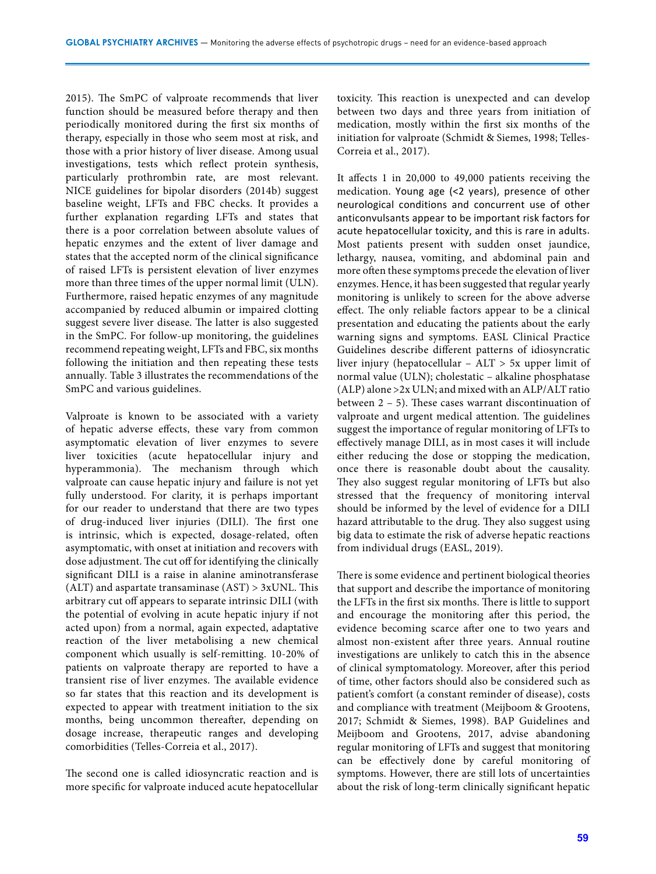2015). The SmPC of valproate recommends that liver function should be measured before therapy and then periodically monitored during the first six months of therapy, especially in those who seem most at risk, and those with a prior history of liver disease. Among usual investigations, tests which reflect protein synthesis, particularly prothrombin rate, are most relevant. NICE guidelines for bipolar disorders (2014b) suggest baseline weight, LFTs and FBC checks. It provides a further explanation regarding LFTs and states that there is a poor correlation between absolute values of hepatic enzymes and the extent of liver damage and states that the accepted norm of the clinical significance of raised LFTs is persistent elevation of liver enzymes more than three times of the upper normal limit (ULN). Furthermore, raised hepatic enzymes of any magnitude accompanied by reduced albumin or impaired clotting suggest severe liver disease. The latter is also suggested in the SmPC. For follow-up monitoring, the guidelines recommend repeating weight, LFTs and FBC, six months following the initiation and then repeating these tests annually*.* Table 3 illustrates the recommendations of the SmPC and various guidelines.

Valproate is known to be associated with a variety of hepatic adverse effects, these vary from common asymptomatic elevation of liver enzymes to severe liver toxicities (acute hepatocellular injury and hyperammonia). The mechanism through which valproate can cause hepatic injury and failure is not yet fully understood. For clarity, it is perhaps important for our reader to understand that there are two types of drug-induced liver injuries (DILI). The first one is intrinsic, which is expected, dosage-related, often asymptomatic, with onset at initiation and recovers with dose adjustment. The cut off for identifying the clinically significant DILI is a raise in alanine aminotransferase (ALT) and aspartate transaminase  $(AST) > 3xUNL$ . This arbitrary cut off appears to separate intrinsic DILI (with the potential of evolving in acute hepatic injury if not acted upon) from a normal, again expected, adaptative reaction of the liver metabolising a new chemical component which usually is self-remitting. 10-20% of patients on valproate therapy are reported to have a transient rise of liver enzymes. The available evidence so far states that this reaction and its development is expected to appear with treatment initiation to the six months, being uncommon thereafter, depending on dosage increase, therapeutic ranges and developing comorbidities (Telles-Correia et al., 2017).

The second one is called idiosyncratic reaction and is more specific for valproate induced acute hepatocellular toxicity. This reaction is unexpected and can develop between two days and three years from initiation of medication, mostly within the first six months of the initiation for valproate (Schmidt & Siemes, 1998; Telles-Correia et al., 2017).

It affects 1 in 20,000 to 49,000 patients receiving the medication. Young age (<2 years), presence of other neurological conditions and concurrent use of other anticonvulsants appear to be important risk factors for acute hepatocellular toxicity, and this is rare in adults. Most patients present with sudden onset jaundice, lethargy, nausea, vomiting, and abdominal pain and more often these symptoms precede the elevation of liver enzymes. Hence, it has been suggested that regular yearly monitoring is unlikely to screen for the above adverse effect. The only reliable factors appear to be a clinical presentation and educating the patients about the early warning signs and symptoms. EASL Clinical Practice Guidelines describe different patterns of idiosyncratic liver injury (hepatocellular – ALT > 5x upper limit of normal value (ULN); cholestatic – alkaline phosphatase (ALP) alone >2x ULN; and mixed with an ALP/ALT ratio between 2 – 5). These cases warrant discontinuation of valproate and urgent medical attention. The guidelines suggest the importance of regular monitoring of LFTs to effectively manage DILI, as in most cases it will include either reducing the dose or stopping the medication, once there is reasonable doubt about the causality. They also suggest regular monitoring of LFTs but also stressed that the frequency of monitoring interval should be informed by the level of evidence for a DILI hazard attributable to the drug. They also suggest using big data to estimate the risk of adverse hepatic reactions from individual drugs (EASL, 2019).

There is some evidence and pertinent biological theories that support and describe the importance of monitoring the LFTs in the first six months. There is little to support and encourage the monitoring after this period, the evidence becoming scarce after one to two years and almost non-existent after three years. Annual routine investigations are unlikely to catch this in the absence of clinical symptomatology. Moreover, after this period of time, other factors should also be considered such as patient's comfort (a constant reminder of disease), costs and compliance with treatment (Meijboom & Grootens, 2017; Schmidt & Siemes, 1998). BAP Guidelines and Meijboom and Grootens, 2017, advise abandoning regular monitoring of LFTs and suggest that monitoring can be effectively done by careful monitoring of symptoms. However, there are still lots of uncertainties about the risk of long-term clinically significant hepatic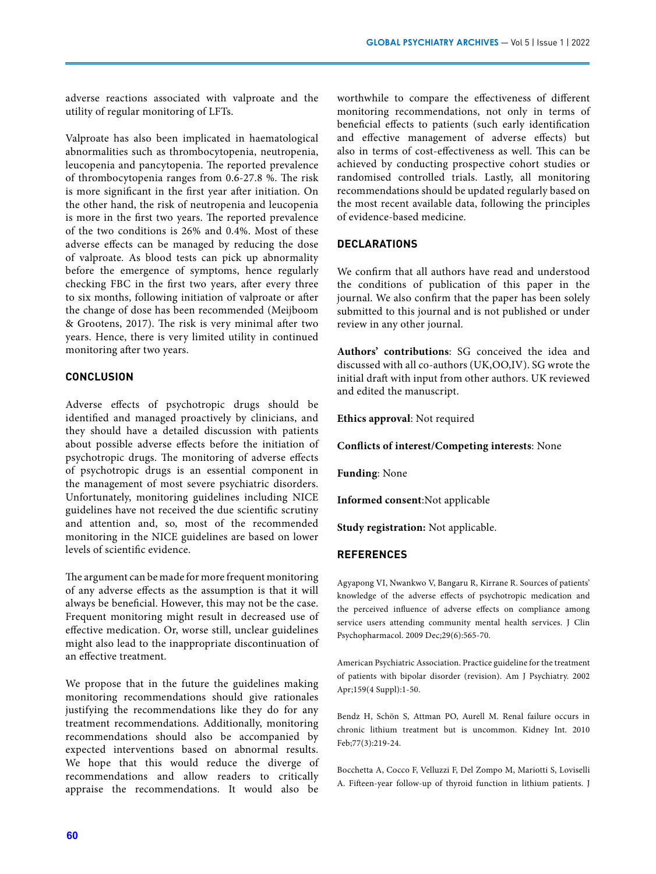adverse reactions associated with valproate and the utility of regular monitoring of LFTs.

Valproate has also been implicated in haematological abnormalities such as thrombocytopenia, neutropenia, leucopenia and pancytopenia. The reported prevalence of thrombocytopenia ranges from 0.6-27.8 %. The risk is more significant in the first year after initiation. On the other hand, the risk of neutropenia and leucopenia is more in the first two years. The reported prevalence of the two conditions is 26% and 0.4%. Most of these adverse effects can be managed by reducing the dose of valproate. As blood tests can pick up abnormality before the emergence of symptoms, hence regularly checking FBC in the first two years, after every three to six months, following initiation of valproate or after the change of dose has been recommended (Meijboom & Grootens, 2017). The risk is very minimal after two years. Hence, there is very limited utility in continued monitoring after two years.

# **CONCLUSION**

Adverse effects of psychotropic drugs should be identified and managed proactively by clinicians, and they should have a detailed discussion with patients about possible adverse effects before the initiation of psychotropic drugs. The monitoring of adverse effects of psychotropic drugs is an essential component in the management of most severe psychiatric disorders. Unfortunately, monitoring guidelines including NICE guidelines have not received the due scientific scrutiny and attention and, so, most of the recommended monitoring in the NICE guidelines are based on lower levels of scientific evidence.

The argument can be made for more frequent monitoring of any adverse effects as the assumption is that it will always be beneficial. However, this may not be the case. Frequent monitoring might result in decreased use of effective medication. Or, worse still, unclear guidelines might also lead to the inappropriate discontinuation of an effective treatment.

We propose that in the future the guidelines making monitoring recommendations should give rationales justifying the recommendations like they do for any treatment recommendations. Additionally, monitoring recommendations should also be accompanied by expected interventions based on abnormal results. We hope that this would reduce the diverge of recommendations and allow readers to critically appraise the recommendations. It would also be

worthwhile to compare the effectiveness of different monitoring recommendations, not only in terms of beneficial effects to patients (such early identification and effective management of adverse effects) but also in terms of cost-effectiveness as well. This can be achieved by conducting prospective cohort studies or randomised controlled trials. Lastly, all monitoring recommendations should be updated regularly based on the most recent available data, following the principles of evidence-based medicine.

# **DECLARATIONS**

We confirm that all authors have read and understood the conditions of publication of this paper in the journal. We also confirm that the paper has been solely submitted to this journal and is not published or under review in any other journal.

**Authors' contributions**: SG conceived the idea and discussed with all co-authors (UK,OO,IV). SG wrote the initial draft with input from other authors. UK reviewed and edited the manuscript.

**Ethics approval**: Not required

**Conflicts of interest/Competing interests**: None

**Funding**: None

**Informed consent**:Not applicable

**Study registration:** Not applicable.

# **REFERENCES**

Agyapong VI, Nwankwo V, Bangaru R, Kirrane R. Sources of patients' knowledge of the adverse effects of psychotropic medication and the perceived influence of adverse effects on compliance among service users attending community mental health services. J Clin Psychopharmacol. 2009 Dec;29(6):565-70.

American Psychiatric Association. Practice guideline for the treatment of patients with bipolar disorder (revision). Am J Psychiatry. 2002 Apr;159(4 Suppl):1-50.

Bendz H, Schön S, Attman PO, Aurell M. Renal failure occurs in chronic lithium treatment but is uncommon. Kidney Int. 2010 Feb;77(3):219-24.

Bocchetta A, Cocco F, Velluzzi F, Del Zompo M, Mariotti S, Loviselli A. Fifteen-year follow-up of thyroid function in lithium patients. J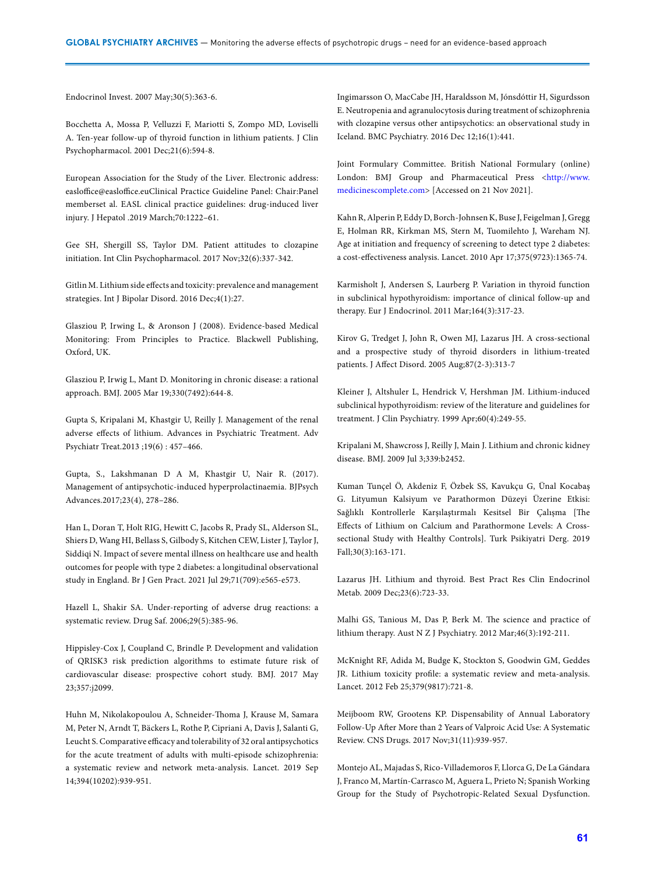Endocrinol Invest. 2007 May;30(5):363-6.

Bocchetta A, Mossa P, Velluzzi F, Mariotti S, Zompo MD, Loviselli A. Ten-year follow-up of thyroid function in lithium patients. J Clin Psychopharmacol. 2001 Dec;21(6):594-8.

European Association for the Study of the Liver. Electronic address: easloffice@easloffice.euClinical Practice Guideline Panel: Chair:Panel memberset al. EASL clinical practice guidelines: drug-induced liver injury. J Hepatol .2019 March;70:1222–61.

Gee SH, Shergill SS, Taylor DM. Patient attitudes to clozapine initiation. Int Clin Psychopharmacol. 2017 Nov;32(6):337-342.

Gitlin M. Lithium side effects and toxicity: prevalence and management strategies. Int J Bipolar Disord. 2016 Dec;4(1):27.

Glasziou P, Irwing L, & Aronson J (2008). Evidence‐based Medical Monitoring: From Principles to Practice. Blackwell Publishing, Oxford, UK.

Glasziou P, Irwig L, Mant D. Monitoring in chronic disease: a rational approach. BMJ. 2005 Mar 19;330(7492):644-8.

Gupta S, Kripalani M, Khastgir U, Reilly J. Management of the renal adverse effects of lithium. Advances in Psychiatric Treatment. Adv Psychiatr Treat.2013 ;19(6) : 457–466.

Gupta, S., Lakshmanan D A M, Khastgir U, Nair R. (2017). Management of antipsychotic-induced hyperprolactinaemia. BJPsych Advances.2017;23(4), 278–286.

Han L, Doran T, Holt RIG, Hewitt C, Jacobs R, Prady SL, Alderson SL, Shiers D, Wang HI, Bellass S, Gilbody S, Kitchen CEW, Lister J, Taylor J, Siddiqi N. Impact of severe mental illness on healthcare use and health outcomes for people with type 2 diabetes: a longitudinal observational study in England. Br J Gen Pract. 2021 Jul 29;71(709):e565-e573.

Hazell L, Shakir SA. Under-reporting of adverse drug reactions: a systematic review. Drug Saf. 2006;29(5):385-96.

Hippisley-Cox J, Coupland C, Brindle P. Development and validation of QRISK3 risk prediction algorithms to estimate future risk of cardiovascular disease: prospective cohort study. BMJ. 2017 May 23;357:j2099.

Huhn M, Nikolakopoulou A, Schneider-Thoma J, Krause M, Samara M, Peter N, Arndt T, Bäckers L, Rothe P, Cipriani A, Davis J, Salanti G, Leucht S. Comparative efficacy and tolerability of 32 oral antipsychotics for the acute treatment of adults with multi-episode schizophrenia: a systematic review and network meta-analysis. Lancet. 2019 Sep 14;394(10202):939-951.

Ingimarsson O, MacCabe JH, Haraldsson M, Jónsdóttir H, Sigurdsson E. Neutropenia and agranulocytosis during treatment of schizophrenia with clozapine versus other antipsychotics: an observational study in Iceland. BMC Psychiatry. 2016 Dec 12;16(1):441.

Joint Formulary Committee. British National Formulary (online) London: BMJ Group and Pharmaceutical Press <[http://www.](http://www.medicinescomplete.com) [medicinescomplete.com](http://www.medicinescomplete.com)> [Accessed on 21 Nov 2021].

Kahn R, Alperin P, Eddy D, Borch-Johnsen K, Buse J, Feigelman J, Gregg E, Holman RR, Kirkman MS, Stern M, Tuomilehto J, Wareham NJ. Age at initiation and frequency of screening to detect type 2 diabetes: a cost-effectiveness analysis. Lancet. 2010 Apr 17;375(9723):1365-74.

Karmisholt J, Andersen S, Laurberg P. Variation in thyroid function in subclinical hypothyroidism: importance of clinical follow-up and therapy. Eur J Endocrinol. 2011 Mar;164(3):317-23.

Kirov G, Tredget J, John R, Owen MJ, Lazarus JH. A cross-sectional and a prospective study of thyroid disorders in lithium-treated patients. J Affect Disord. 2005 Aug;87(2-3):313-7

Kleiner J, Altshuler L, Hendrick V, Hershman JM. Lithium-induced subclinical hypothyroidism: review of the literature and guidelines for treatment. J Clin Psychiatry. 1999 Apr;60(4):249-55.

Kripalani M, Shawcross J, Reilly J, Main J. Lithium and chronic kidney disease. BMJ. 2009 Jul 3;339:b2452.

Kuman Tunçel Ö, Akdeniz F, Özbek SS, Kavukçu G, Ünal Kocabaş G. Lityumun Kalsiyum ve Parathormon Düzeyi Üzerine Etkisi: Sağlıklı Kontrollerle Karşılaştırmalı Kesitsel Bir Çalışma [The Effects of Lithium on Calcium and Parathormone Levels: A Crosssectional Study with Healthy Controls]. Turk Psikiyatri Derg. 2019 Fall;30(3):163-171.

Lazarus JH. Lithium and thyroid. Best Pract Res Clin Endocrinol Metab. 2009 Dec;23(6):723-33.

Malhi GS, Tanious M, Das P, Berk M. The science and practice of lithium therapy. Aust N Z J Psychiatry. 2012 Mar;46(3):192-211.

McKnight RF, Adida M, Budge K, Stockton S, Goodwin GM, Geddes JR. Lithium toxicity profile: a systematic review and meta-analysis. Lancet. 2012 Feb 25;379(9817):721-8.

Meijboom RW, Grootens KP. Dispensability of Annual Laboratory Follow-Up After More than 2 Years of Valproic Acid Use: A Systematic Review. CNS Drugs. 2017 Nov;31(11):939-957.

Montejo AL, Majadas S, Rico-Villademoros F, Llorca G, De La Gándara J, Franco M, Martín-Carrasco M, Aguera L, Prieto N; Spanish Working Group for the Study of Psychotropic-Related Sexual Dysfunction.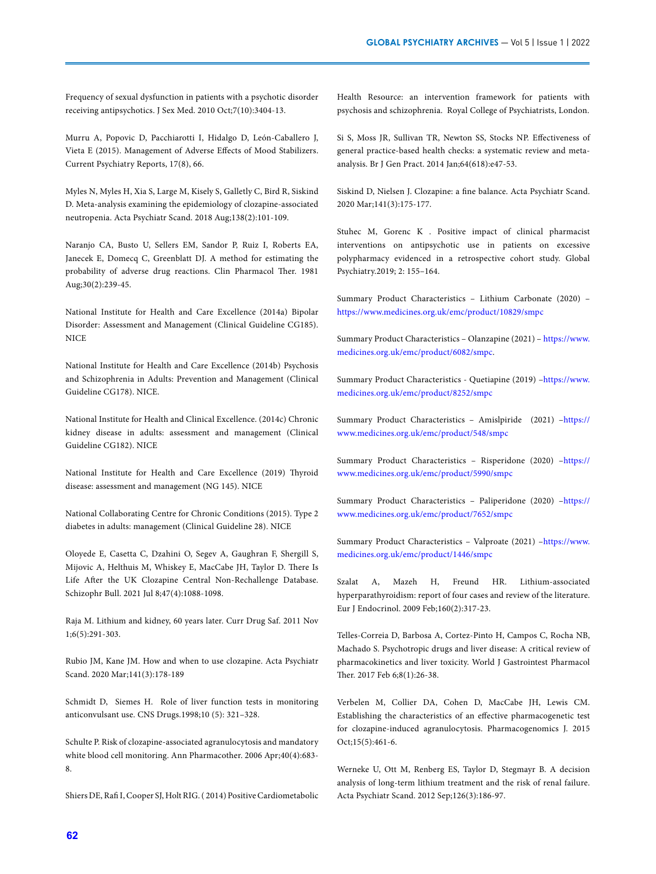Frequency of sexual dysfunction in patients with a psychotic disorder receiving antipsychotics. J Sex Med. 2010 Oct;7(10):3404-13.

Murru A, Popovic D, Pacchiarotti I, Hidalgo D, León-Caballero J, Vieta E (2015). Management of Adverse Effects of Mood Stabilizers. Current Psychiatry Reports, 17(8), 66.

Myles N, Myles H, Xia S, Large M, Kisely S, Galletly C, Bird R, Siskind D. Meta-analysis examining the epidemiology of clozapine-associated neutropenia. Acta Psychiatr Scand. 2018 Aug;138(2):101-109.

Naranjo CA, Busto U, Sellers EM, Sandor P, Ruiz I, Roberts EA, Janecek E, Domecq C, Greenblatt DJ. A method for estimating the probability of adverse drug reactions. Clin Pharmacol Ther. 1981 Aug;30(2):239-45.

National Institute for Health and Care Excellence (2014a) Bipolar Disorder: Assessment and Management (Clinical Guideline CG185). **NICE** 

National Institute for Health and Care Excellence (2014b) Psychosis and Schizophrenia in Adults: Prevention and Management (Clinical Guideline CG178). NICE.

National Institute for Health and Clinical Excellence. (2014c) Chronic kidney disease in adults: assessment and management (Clinical Guideline CG182). NICE

National Institute for Health and Care Excellence (2019) Thyroid disease: assessment and management (NG 145). NICE

National Collaborating Centre for Chronic Conditions (2015). Type 2 diabetes in adults: management (Clinical Guideline 28). NICE

Oloyede E, Casetta C, Dzahini O, Segev A, Gaughran F, Shergill S, Mijovic A, Helthuis M, Whiskey E, MacCabe JH, Taylor D. There Is Life After the UK Clozapine Central Non-Rechallenge Database. Schizophr Bull. 2021 Jul 8;47(4):1088-1098.

Raja M. Lithium and kidney, 60 years later. Curr Drug Saf. 2011 Nov 1;6(5):291-303.

Rubio JM, Kane JM. How and when to use clozapine. Acta Psychiatr Scand. 2020 Mar;141(3):178-189

Schmidt D, Siemes H. Role of liver function tests in monitoring anticonvulsant use. CNS Drugs.1998;10 (5): 321–328.

Schulte P. Risk of clozapine-associated agranulocytosis and mandatory white blood cell monitoring. Ann Pharmacother. 2006 Apr;40(4):683- 8.

Shiers DE, Rafi I, Cooper SJ, Holt RIG. ( 2014) Positive Cardiometabolic

Health Resource: an intervention framework for patients with psychosis and schizophrenia. Royal College of Psychiatrists, London.

Si S, Moss JR, Sullivan TR, Newton SS, Stocks NP. Effectiveness of general practice-based health checks: a systematic review and metaanalysis. Br J Gen Pract. 2014 Jan;64(618):e47-53.

Siskind D, Nielsen J. Clozapine: a fine balance. Acta Psychiatr Scand. 2020 Mar;141(3):175-177.

Stuhec M, Gorenc K . Positive impact of clinical pharmacist interventions on antipsychotic use in patients on excessive polypharmacy evidenced in a retrospective cohort study. Global Psychiatry.2019; 2: 155–164.

Summary Product Characteristics – Lithium Carbonate (2020) – <https://www.medicines.org.uk/emc/product/10829/smpc>

Summary Product Characteristics – Olanzapine (2021) – [https://www.](https://www.medicines.org.uk/emc/product/6082/smpc) [medicines.org.uk/emc/product/6082/smpc](https://www.medicines.org.uk/emc/product/6082/smpc).

Summary Product Characteristics - Quetiapine (2019) [–https://www.](https://www.medicines.org.uk/emc/product/8252/smpc) [medicines.org.uk/emc/product/8252/smpc](https://www.medicines.org.uk/emc/product/8252/smpc)

Summary Product Characteristics – Amislpiride (2021) –[https://](https://www.medicines.org.uk/emc/product/548/smpc) [www.medicines.org.uk/emc/product/548/smpc](https://www.medicines.org.uk/emc/product/548/smpc)

Summary Product Characteristics – Risperidone (2020) –[https://](https://www.medicines.org.uk/emc/product/5990/smpc) [www.medicines.org.uk/emc/product/5990/smpc](https://www.medicines.org.uk/emc/product/5990/smpc)

Summary Product Characteristics – Paliperidone (2020) –[https://](https://www.medicines.org.uk/emc/product/7652/smpc) [www.medicines.org.uk/emc/product/7652/smpc](https://www.medicines.org.uk/emc/product/7652/smpc)

Summary Product Characteristics – Valproate (2021) [–https://www.](https://www.medicines.org.uk/emc/product/1446/smpc) [medicines.org.uk/emc/product/1446/smpc](https://www.medicines.org.uk/emc/product/1446/smpc)

Szalat A, Mazeh H, Freund HR. Lithium-associated hyperparathyroidism: report of four cases and review of the literature. Eur J Endocrinol. 2009 Feb;160(2):317-23.

Telles-Correia D, Barbosa A, Cortez-Pinto H, Campos C, Rocha NB, Machado S. Psychotropic drugs and liver disease: A critical review of pharmacokinetics and liver toxicity. World J Gastrointest Pharmacol Ther. 2017 Feb 6;8(1):26-38.

Verbelen M, Collier DA, Cohen D, MacCabe JH, Lewis CM. Establishing the characteristics of an effective pharmacogenetic test for clozapine-induced agranulocytosis. Pharmacogenomics J. 2015 Oct;15(5):461-6.

Werneke U, Ott M, Renberg ES, Taylor D, Stegmayr B. A decision analysis of long-term lithium treatment and the risk of renal failure. Acta Psychiatr Scand. 2012 Sep;126(3):186-97.